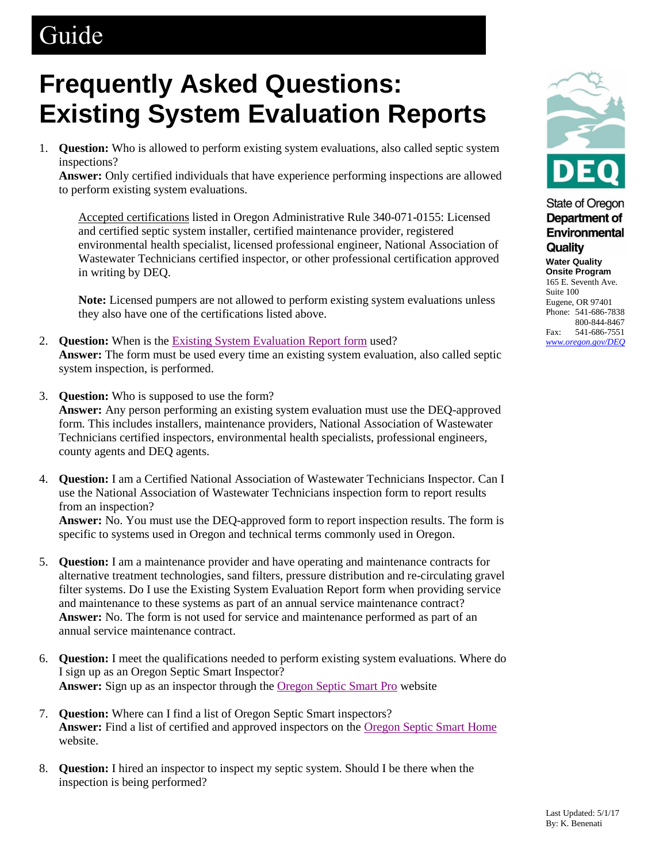## Guide

## **Frequently Asked Questions: Existing System Evaluation Reports**

1. **Question:** Who is allowed to perform existing system evaluations, also called septic system inspections?

**Answer:** Only certified individuals that have experience performing inspections are allowed to perform existing system evaluations.

Accepted certifications listed in Oregon Administrative Rule 340-071-0155: Licensed and certified septic system installer, certified maintenance provider, registered environmental health specialist, licensed professional engineer, National Association of Wastewater Technicians certified inspector, or other professional certification approved in writing by DEQ.

**Note:** Licensed pumpers are not allowed to perform existing system evaluations unless they also have one of the certifications listed above.

- 2. **Question:** When is the [Existing System Evaluation Report](https://www.oregon.gov/deq/FilterDocs/ESERform.pdf) form used? **Answer:** The form must be used every time an existing system evaluation, also called septic system inspection, is performed.
- 3. **Question:** Who is supposed to use the form? **Answer:** Any person performing an existing system evaluation must use the DEQ-approved form. This includes installers, maintenance providers, National Association of Wastewater Technicians certified inspectors, environmental health specialists, professional engineers, county agents and DEQ agents.
- 4. **Question:** I am a Certified National Association of Wastewater Technicians Inspector. Can I use the National Association of Wastewater Technicians inspection form to report results from an inspection? **Answer:** No. You must use the DEQ-approved form to report inspection results. The form is specific to systems used in Oregon and technical terms commonly used in Oregon.
- 5. **Question:** I am a maintenance provider and have operating and maintenance contracts for alternative treatment technologies, sand filters, pressure distribution and re-circulating gravel filter systems. Do I use the Existing System Evaluation Report form when providing service and maintenance to these systems as part of an annual service maintenance contract? **Answer:** No. The form is not used for service and maintenance performed as part of an annual service maintenance contract.
- 6. **Question:** I meet the qualifications needed to perform existing system evaluations. Where do I sign up as an Oregon Septic Smart Inspector? **Answer:** Sign up as an inspector through the [Oregon Septic Smart Pro](https://www.oregon.gov/deq/Residential/Pages/Septic-Smart.aspx) website
- 7. **Question:** Where can I find a list of Oregon Septic Smart inspectors? **Answer:** Find a list of certified and approved inspectors on the [Oregon Septic Smart Home](https://www.oregon.gov/deq/FilterDocs/OSSinspectorlist.pdf) website.
- 8. **Question:** I hired an inspector to inspect my septic system. Should I be there when the inspection is being performed?



## **State of Oregon** Department of Environmental Quality

**Water Quality Onsite Program**  165 E. Seventh Ave. Suite 100

Eugene, OR 97401 Phone: 541-686-7838 800-844-8467 Fax: 541-686-7551 *[www.oregon.gov/DEQ](http://www.oregon.gov/DEQ)*